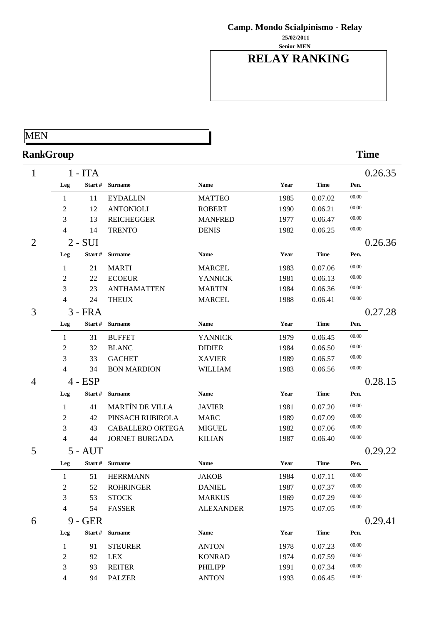**Senior MEN 25/02/2011**

## **RELAY RANKING**

## MEN

# **RankGroup Time**

| 1              |                | $1 - ITA$ |                        |                  |      |             |       | 0.26.35 |
|----------------|----------------|-----------|------------------------|------------------|------|-------------|-------|---------|
|                | Leg            | Start#    | <b>Surname</b>         | <b>Name</b>      | Year | <b>Time</b> | Pen.  |         |
|                | 1              | 11        | <b>EYDALLIN</b>        | <b>MATTEO</b>    | 1985 | 0.07.02     | 00.00 |         |
|                | $\overline{2}$ | 12        | <b>ANTONIOLI</b>       | <b>ROBERT</b>    | 1990 | 0.06.21     | 00.00 |         |
|                | 3              | 13        | <b>REICHEGGER</b>      | <b>MANFRED</b>   | 1977 | 0.06.47     | 00.00 |         |
|                | 4              | 14        | <b>TRENTO</b>          | <b>DENIS</b>     | 1982 | 0.06.25     | 00.00 |         |
| $\overline{2}$ |                | $2 - SUI$ |                        |                  |      |             |       | 0.26.36 |
|                | Leg            | Start#    | <b>Surname</b>         | <b>Name</b>      | Year | <b>Time</b> | Pen.  |         |
|                | 1              | 21        | <b>MARTI</b>           | <b>MARCEL</b>    | 1983 | 0.07.06     | 00.00 |         |
|                | 2              | 22        | <b>ECOEUR</b>          | <b>YANNICK</b>   | 1981 | 0.06.13     | 00.00 |         |
|                | 3              | 23        | <b>ANTHAMATTEN</b>     | <b>MARTIN</b>    | 1984 | 0.06.36     | 00.00 |         |
|                | 4              | 24        | <b>THEUX</b>           | <b>MARCEL</b>    | 1988 | 0.06.41     | 00.00 |         |
| 3              |                | $3$ - FRA |                        |                  |      |             |       | 0.27.28 |
|                | Leg            | Start#    | <b>Surname</b>         | <b>Name</b>      | Year | <b>Time</b> | Pen.  |         |
|                | 1              | 31        | <b>BUFFET</b>          | <b>YANNICK</b>   | 1979 | 0.06.45     | 00.00 |         |
|                | $\overline{c}$ | 32        | <b>BLANC</b>           | <b>DIDIER</b>    | 1984 | 0.06.50     | 00.00 |         |
|                | 3              | 33        | <b>GACHET</b>          | <b>XAVIER</b>    | 1989 | 0.06.57     | 00.00 |         |
|                | 4              | 34        | <b>BON MARDION</b>     | <b>WILLIAM</b>   | 1983 | 0.06.56     | 00.00 |         |
| $\overline{4}$ |                | $4 - ESP$ |                        |                  |      |             |       | 0.28.15 |
|                | Leg            | Start #   | <b>Surname</b>         | <b>Name</b>      | Year | <b>Time</b> | Pen.  |         |
|                | 1              | 41        | <b>MARTÍN DE VILLA</b> | <b>JAVIER</b>    | 1981 | 0.07.20     | 00.00 |         |
|                | 2              | 42        | PINSACH RUBIROLA       | <b>MARC</b>      | 1989 | 0.07.09     | 00.00 |         |
|                | 3              | 43        | CABALLERO ORTEGA       | <b>MIGUEL</b>    | 1982 | 0.07.06     | 00.00 |         |
|                | 4              | 44        | <b>JORNET BURGADA</b>  | <b>KILIAN</b>    | 1987 | 0.06.40     | 00.00 |         |
| 5              |                | $5 - AUT$ |                        |                  |      |             |       | 0.29.22 |
|                | Leg            |           | Start # Surname        | <b>Name</b>      | Year | <b>Time</b> | Pen.  |         |
|                | 1              | 51        | <b>HERRMANN</b>        | <b>JAKOB</b>     | 1984 | 0.07.11     | 00.00 |         |
|                | 2              | 52        | <b>ROHRINGER</b>       | <b>DANIEL</b>    | 1987 | 0.07.37     | 00.00 |         |
|                | 3              | 53        | <b>STOCK</b>           | <b>MARKUS</b>    | 1969 | 0.07.29     | 00.00 |         |
|                | 4              | 54        | <b>FASSER</b>          | <b>ALEXANDER</b> | 1975 | 0.07.05     | 00.00 |         |
| 6              |                | $9 - GER$ |                        |                  |      |             |       | 0.29.41 |
|                | Leg            |           | Start # Surname        | <b>Name</b>      | Year | <b>Time</b> | Pen.  |         |
|                | 1              | 91        | <b>STEURER</b>         | <b>ANTON</b>     | 1978 | 0.07.23     | 00.00 |         |
|                | 2              | 92        | LEX                    | <b>KONRAD</b>    | 1974 | 0.07.59     | 00.00 |         |
|                | 3              | 93        | <b>REITER</b>          | <b>PHILIPP</b>   | 1991 | 0.07.34     | 00.00 |         |
|                | $\overline{4}$ | 94        | <b>PALZER</b>          | <b>ANTON</b>     | 1993 | 0.06.45     | 00.00 |         |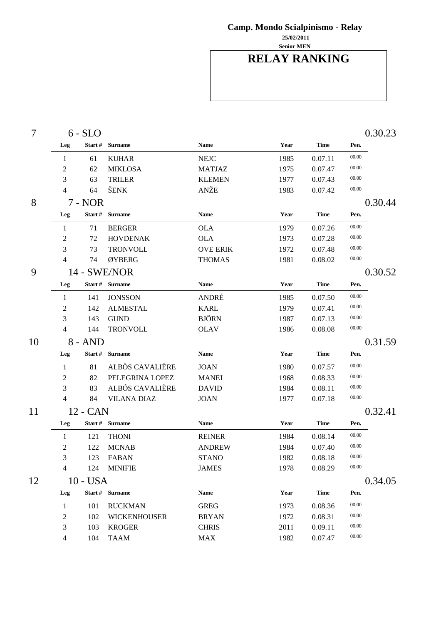**Senior MEN 25/02/2011**

# **RELAY RANKING**

| $\overline{7}$ |     | $6 - SLO$  |                     |                 |      |             | 0.30.23 |         |  |
|----------------|-----|------------|---------------------|-----------------|------|-------------|---------|---------|--|
|                | Leg | Start#     | <b>Surname</b>      | <b>Name</b>     | Year | <b>Time</b> | Pen.    |         |  |
|                | 1   | 61         | <b>KUHAR</b>        | <b>NEJC</b>     | 1985 | 0.07.11     | 00.00   |         |  |
|                | 2   | 62         | <b>MIKLOSA</b>      | <b>MATJAZ</b>   | 1975 | 0.07.47     | 00.00   |         |  |
|                | 3   | 63         | <b>TRILER</b>       | <b>KLEMEN</b>   | 1977 | 0.07.43     | 00.00   |         |  |
|                | 4   | 64         | ŠENK                | ANŽE            | 1983 | 0.07.42     | 00.00   |         |  |
| 8              |     | 7 - NOR    |                     |                 |      |             |         | 0.30.44 |  |
|                | Leg |            | Start # Surname     | <b>Name</b>     | Year | <b>Time</b> | Pen.    |         |  |
|                | 1   | 71         | <b>BERGER</b>       | <b>OLA</b>      | 1979 | 0.07.26     | 00.00   |         |  |
|                | 2   | 72         | <b>HOVDENAK</b>     | <b>OLA</b>      | 1973 | 0.07.28     | 00.00   |         |  |
|                | 3   | 73         | <b>TRONVOLL</b>     | <b>OVE ERIK</b> | 1972 | 0.07.48     | 00.00   |         |  |
|                | 4   | 74         | ØYBERG              | <b>THOMAS</b>   | 1981 | 0.08.02     | 00.00   |         |  |
| 9              |     |            | 14 - SWE/NOR        |                 |      |             |         | 0.30.52 |  |
|                | Leg |            | Start # Surname     | <b>Name</b>     | Year | <b>Time</b> | Pen.    |         |  |
|                | 1   | 141        | <b>JONSSON</b>      | ANDRÉ           | 1985 | 0.07.50     | 00.00   |         |  |
|                | 2   | 142        | <b>ALMESTAL</b>     | <b>KARL</b>     | 1979 | 0.07.41     | 00.00   |         |  |
|                | 3   | 143        | <b>GUND</b>         | <b>BJÖRN</b>    | 1987 | 0.07.13     | 00.00   |         |  |
|                | 4   | 144        | <b>TRONVOLL</b>     | <b>OLAV</b>     | 1986 | 0.08.08     | 00.00   |         |  |
| 10             |     | $8 - AND$  |                     |                 |      |             |         | 0.31.59 |  |
|                | Leg | Start #    | <b>Surname</b>      | <b>Name</b>     | Year | <b>Time</b> | Pen.    |         |  |
|                | 1   | 81         | ALBÒS CAVALIÈRE     | <b>JOAN</b>     | 1980 | 0.07.57     | 00.00   |         |  |
|                | 2   | 82         | PELEGRINA LOPEZ     | <b>MANEL</b>    | 1968 | 0.08.33     | 00.00   |         |  |
|                | 3   | 83         | ALBÓS CAVALIÈRE     | <b>DAVID</b>    | 1984 | 0.08.11     | 00.00   |         |  |
|                | 4   | 84         | <b>VILANA DIAZ</b>  | <b>JOAN</b>     | 1977 | 0.07.18     | 00.00   |         |  |
| 11             |     | 12 - CAN   |                     |                 |      |             |         | 0.32.41 |  |
|                | Leg |            | Start # Surname     | <b>Name</b>     | Year | <b>Time</b> | Pen.    |         |  |
|                | 1   | 121        | <b>THONI</b>        | <b>REINER</b>   | 1984 | 0.08.14     | 00.00   |         |  |
|                | 2   | 122        | <b>MCNAB</b>        | <b>ANDREW</b>   | 1984 | 0.07.40     | 00.00   |         |  |
|                | 3   | 123        | <b>FABAN</b>        | <b>STANO</b>    | 1982 | 0.08.18     | 00.00   |         |  |
|                | 4   | 124        | <b>MINIFIE</b>      | <b>JAMES</b>    | 1978 | 0.08.29     | 00.00   |         |  |
| 12             |     | $10 - USA$ |                     |                 |      |             |         | 0.34.05 |  |
|                | Leg |            | Start # Surname     | <b>Name</b>     | Year | <b>Time</b> | Pen.    |         |  |
|                | 1   | 101        | <b>RUCKMAN</b>      | <b>GREG</b>     | 1973 | 0.08.36     | 00.00   |         |  |
|                | 2   | 102        | <b>WICKENHOUSER</b> | <b>BRYAN</b>    | 1972 | 0.08.31     | 00.00   |         |  |
|                | 3   | 103        | <b>KROGER</b>       | <b>CHRIS</b>    | 2011 | 0.09.11     | 00.00   |         |  |
|                | 4   | 104        | <b>TAAM</b>         | <b>MAX</b>      | 1982 | 0.07.47     | 00.00   |         |  |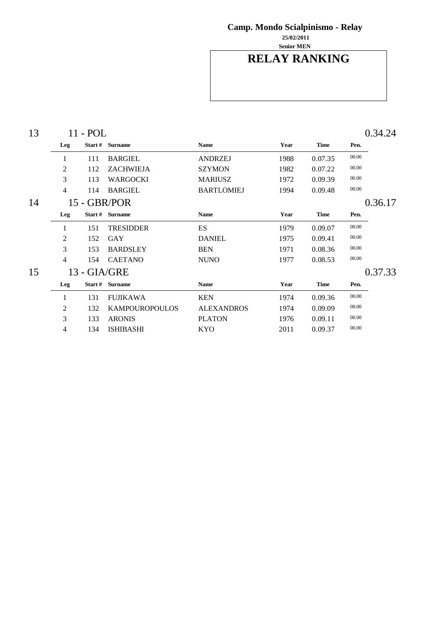**Senior MEN 25/02/2011**

## **RELAY RANKING**

| 13 |              | 11 - POL |                       |                   |      |             |       | 0.34.24 |
|----|--------------|----------|-----------------------|-------------------|------|-------------|-------|---------|
|    | Leg          |          | Start # Surname       | Name              | Year | <b>Time</b> | Pen.  |         |
|    | 1            | 111      | <b>BARGIEL</b>        | <b>ANDRZEJ</b>    | 1988 | 0.07.35     | 00.00 |         |
|    | 2            | 112      | <b>ZACHWIEJA</b>      | <b>SZYMON</b>     | 1982 | 0.07.22     | 00.00 |         |
|    | 3            | 113      | WARGOCKI              | <b>MARIUSZ</b>    | 1972 | 0.09.39     | 00.00 |         |
|    | 4            | 114      | <b>BARGIEL</b>        | <b>BARTLOMIEJ</b> | 1994 | 0.09.48     | 00.00 |         |
| 14 |              |          | 15 - GBR/POR          |                   |      |             |       | 0.36.17 |
|    | Leg          |          | Start # Surname       | <b>Name</b>       | Year | <b>Time</b> | Pen.  |         |
|    | 1            | 151      | TRESIDDER             | <b>ES</b>         | 1979 | 0.09.07     | 00.00 |         |
|    | 2            | 152      | GAY                   | <b>DANIEL</b>     | 1975 | 0.09.41     | 00.00 |         |
|    | 3            | 153      | <b>BARDSLEY</b>       | <b>BEN</b>        | 1971 | 0.08.36     | 00.00 |         |
|    | 4            | 154      | <b>CAETANO</b>        | <b>NUNO</b>       | 1977 | 0.08.53     | 00.00 |         |
| 15 | 13 - GIA/GRE |          |                       |                   |      |             |       | 0.37.33 |
|    | Leg          | Start #  | <b>Surname</b>        | <b>Name</b>       | Year | <b>Time</b> | Pen.  |         |
|    | 1            | 131      | <b>FUJIKAWA</b>       | <b>KEN</b>        | 1974 | 0.09.36     | 00.00 |         |
|    | 2            | 132      | <b>KAMPOUROPOULOS</b> | <b>ALEXANDROS</b> | 1974 | 0.09.09     | 00.00 |         |
|    | 3            | 133      | <b>ARONIS</b>         | <b>PLATON</b>     | 1976 | 0.09.11     | 00.00 |         |
|    | 4            | 134      | <b>ISHIBASHI</b>      | KYO               | 2011 | 0.09.37     | 00.00 |         |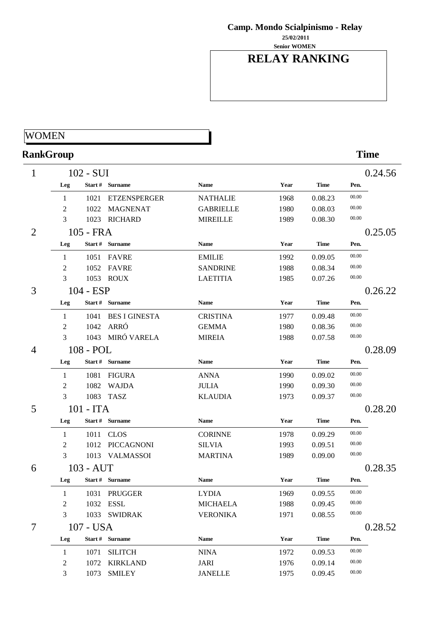**Senior WOMEN 25/02/2011**

## **RELAY RANKING**

### **WOMEN**

# **RankGroup Time**

| 1              |     | 102 - SUI   |                      |                  |      |             |       | 0.24.56 |
|----------------|-----|-------------|----------------------|------------------|------|-------------|-------|---------|
|                | Leg |             | Start # Surname      | Name             | Year | <b>Time</b> | Pen.  |         |
|                | 1   | 1021        | <b>ETZENSPERGER</b>  | <b>NATHALIE</b>  | 1968 | 0.08.23     | 00.00 |         |
|                | 2   | 1022        | <b>MAGNENAT</b>      | <b>GABRIELLE</b> | 1980 | 0.08.03     | 00.00 |         |
|                | 3   |             | 1023 RICHARD         | <b>MIREILLE</b>  | 1989 | 0.08.30     | 00.00 |         |
| $\overline{2}$ |     | 105 - FRA   |                      |                  |      |             |       | 0.25.05 |
|                | Leg |             | Start # Surname      | <b>Name</b>      | Year | <b>Time</b> | Pen.  |         |
|                | 1   | 1051        | <b>FAVRE</b>         | <b>EMILIE</b>    | 1992 | 0.09.05     | 00.00 |         |
|                | 2   | 1052        | <b>FAVRE</b>         | <b>SANDRINE</b>  | 1988 | 0.08.34     | 00.00 |         |
|                | 3   |             | 1053 ROUX            | <b>LAETITIA</b>  | 1985 | 0.07.26     | 00.00 |         |
| 3              |     | $104 - ESP$ |                      |                  |      |             |       | 0.26.22 |
|                | Leg |             | Start # Surname      | <b>Name</b>      | Year | <b>Time</b> | Pen.  |         |
|                | 1   | 1041        | <b>BES I GINESTA</b> | <b>CRISTINA</b>  | 1977 | 0.09.48     | 00.00 |         |
|                | 2   | 1042        | ARRÓ                 | <b>GEMMA</b>     | 1980 | 0.08.36     | 00.00 |         |
|                | 3   |             | 1043 MIRÓ VARELA     | <b>MIREIA</b>    | 1988 | 0.07.58     | 00.00 |         |
| 4              |     | 108 - POL   |                      |                  |      |             |       | 0.28.09 |
|                | Leg |             | Start # Surname      | <b>Name</b>      | Year | <b>Time</b> | Pen.  |         |
|                | 1   | 1081        | <b>FIGURA</b>        | <b>ANNA</b>      | 1990 | 0.09.02     | 00.00 |         |
|                | 2   | 1082        | <b>WAJDA</b>         | <b>JULIA</b>     | 1990 | 0.09.30     | 00.00 |         |
|                | 3   | 1083        | <b>TASZ</b>          | <b>KLAUDIA</b>   | 1973 | 0.09.37     | 00.00 |         |
| 5              |     | 101 - ITA   |                      |                  |      |             |       | 0.28.20 |
|                | Leg |             | Start # Surname      | <b>Name</b>      | Year | <b>Time</b> | Pen.  |         |
|                | 1   | 1011        | <b>CLOS</b>          | <b>CORINNE</b>   | 1978 | 0.09.29     | 00.00 |         |
|                | 2   | 1012        | PICCAGNONI           | <b>SILVIA</b>    | 1993 | 0.09.51     | 00.00 |         |
|                | 3   |             | 1013 VALMASSOI       | <b>MARTINA</b>   | 1989 | 0.09.00     | 00.00 |         |
| 6              |     | 103 - AUT   |                      |                  |      |             |       | 0.28.35 |
|                | Leg |             | Start # Surname      | Name             | Year | <b>Time</b> | Pen.  |         |
|                | 1   | 1031        | <b>PRUGGER</b>       | <b>LYDIA</b>     | 1969 | 0.09.55     | 00.00 |         |
|                | 2   |             | 1032 ESSL            | <b>MICHAELA</b>  | 1988 | 0.09.45     | 00.00 |         |
|                | 3   |             | 1033 SWIDRAK         | <b>VERONIKA</b>  | 1971 | 0.08.55     | 00.00 |         |
| 7              |     | 107 - USA   |                      |                  |      |             |       | 0.28.52 |
|                | Leg |             | Start # Surname      | <b>Name</b>      | Year | <b>Time</b> | Pen.  |         |
|                | 1   | 1071        | <b>SILITCH</b>       | <b>NINA</b>      | 1972 | 0.09.53     | 00.00 |         |
|                | 2   | 1072        | <b>KIRKLAND</b>      | <b>JARI</b>      | 1976 | 0.09.14     | 00.00 |         |
|                | 3   | 1073        | <b>SMILEY</b>        | <b>JANELLE</b>   | 1975 | 0.09.45     | 00.00 |         |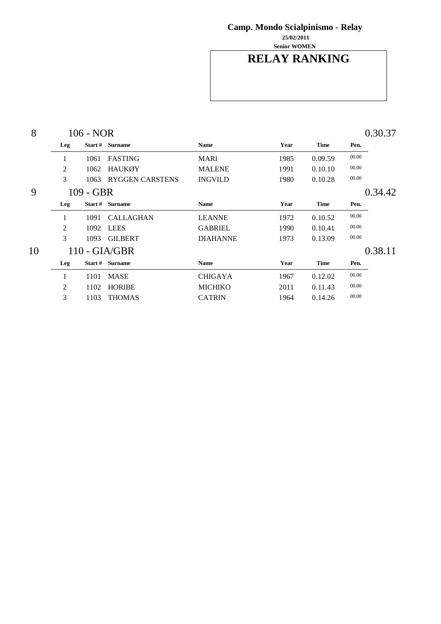**Senior WOMEN 25/02/2011**

### **RELAY RANKING**

| 8  |                         | 106 - NOR   |                        |                 |      |             | 0.30.37 |         |  |
|----|-------------------------|-------------|------------------------|-----------------|------|-------------|---------|---------|--|
|    | Leg                     |             | Start # Surname        | Name            | Year | <b>Time</b> | Pen.    |         |  |
|    | 1                       | 1061        | <b>FASTING</b>         | <b>MARI</b>     | 1985 | 0.09.59     | 00.00   |         |  |
|    | 2                       | 1062        | <b>HAUKØY</b>          | <b>MALENE</b>   | 1991 | 0.10.10     | 00.00   |         |  |
|    | 3                       | 1063        | <b>RYGGEN CARSTENS</b> | <b>INGVILD</b>  | 1980 | 0.10.28     | 00.00   |         |  |
| 9  |                         | $109 - GBR$ |                        |                 |      |             |         | 0.34.42 |  |
|    | Leg                     |             | Start # Surname        | Name            | Year | <b>Time</b> | Pen.    |         |  |
|    | 1                       | 1091        | <b>CALLAGHAN</b>       | <b>LEANNE</b>   | 1972 | 0.10.52     | 00.00   |         |  |
|    | 2                       | 1092        | <b>LEES</b>            | <b>GABRIEL</b>  | 1990 | 0.10.41     | 00.00   |         |  |
|    | 3                       | 1093        | <b>GILBERT</b>         | <b>DIAHANNE</b> | 1973 | 0.13.09     | 00.00   |         |  |
| 10 | $110 - \frac{GIA}{GBR}$ |             |                        |                 |      |             |         | 0.38.11 |  |
|    | Leg                     | Start #     | <b>Surname</b>         | <b>Name</b>     | Year | <b>Time</b> | Pen.    |         |  |
|    | 1                       | 1101        | <b>MASE</b>            | <b>CHIGAYA</b>  | 1967 | 0.12.02     | 00.00   |         |  |
|    | 2                       | 1102        | <b>HORIBE</b>          | <b>MICHIKO</b>  | 2011 | 0.11.43     | 00.00   |         |  |
|    | 3                       | 1103        | <b>THOMAS</b>          | <b>CATRIN</b>   | 1964 | 0.14.26     | 00.00   |         |  |
|    |                         |             |                        |                 |      |             |         |         |  |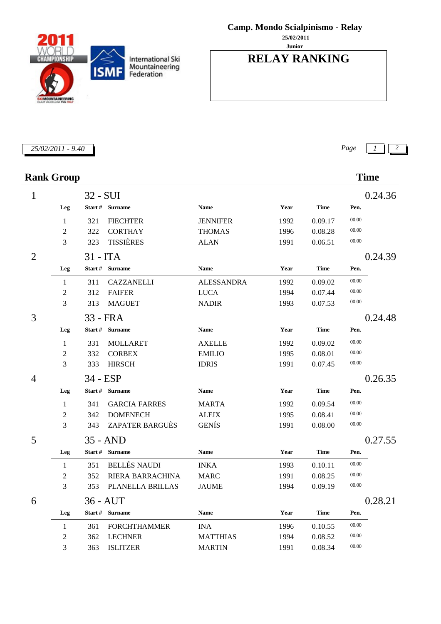**Junior 25/02/2011**

### **RELAY RANKING**

### **Rank Group Time**

| $\mathbf{1}$   |                | 32 - SUI   |                         |                   |      |             |       | 0.24.36 |
|----------------|----------------|------------|-------------------------|-------------------|------|-------------|-------|---------|
|                | Leg            |            | Start # Surname         | <b>Name</b>       | Year | <b>Time</b> | Pen.  |         |
|                | 1              | 321        | <b>FIECHTER</b>         | <b>JENNIFER</b>   | 1992 | 0.09.17     | 00.00 |         |
|                | $\overline{c}$ | 322        | <b>CORTHAY</b>          | <b>THOMAS</b>     | 1996 | 0.08.28     | 00.00 |         |
|                | 3              | 323        | <b>TISSIÈRES</b>        | <b>ALAN</b>       | 1991 | 0.06.51     | 00.00 |         |
| $\overline{2}$ |                | $31 - ITA$ |                         |                   |      |             |       | 0.24.39 |
|                | Leg            |            | Start # Surname         | <b>Name</b>       | Year | <b>Time</b> | Pen.  |         |
|                | 1              | 311        | <b>CAZZANELLI</b>       | <b>ALESSANDRA</b> | 1992 | 0.09.02     | 00.00 |         |
|                | $\overline{2}$ | 312        | <b>FAIFER</b>           | <b>LUCA</b>       | 1994 | 0.07.44     | 00.00 |         |
|                | 3              | 313        | <b>MAGUET</b>           | <b>NADIR</b>      | 1993 | 0.07.53     | 00.00 |         |
| 3              |                |            | 33 - FRA                |                   |      |             |       | 0.24.48 |
|                | Leg            |            | Start # Surname         | <b>Name</b>       | Year | <b>Time</b> | Pen.  |         |
|                | 1              | 331        | <b>MOLLARET</b>         | <b>AXELLE</b>     | 1992 | 0.09.02     | 00.00 |         |
|                | $\overline{2}$ | 332        | <b>CORBEX</b>           | <b>EMILIO</b>     | 1995 | 0.08.01     | 00.00 |         |
|                | 3              | 333        | <b>HIRSCH</b>           | <b>IDRIS</b>      | 1991 | 0.07.45     | 00.00 |         |
| 4              |                | 34 - ESP   |                         |                   |      |             |       | 0.26.35 |
|                | Leg            |            | Start # Surname         | <b>Name</b>       | Year | <b>Time</b> | Pen.  |         |
|                | 1              | 341        | <b>GARCIA FARRES</b>    | <b>MARTA</b>      | 1992 | 0.09.54     | 00.00 |         |
|                | $\overline{c}$ | 342        | <b>DOMENECH</b>         | <b>ALEIX</b>      | 1995 | 0.08.41     | 00.00 |         |
|                | 3              | 343        | <b>ZAPATER BARGUÈS</b>  | <b>GENÍS</b>      | 1991 | 0.08.00     | 00.00 |         |
| 5              |                |            | $35 - AND$              |                   |      |             |       | 0.27.55 |
|                | Leg            |            | Start # Surname         | <b>Name</b>       | Year | <b>Time</b> | Pen.  |         |
|                | 1              | 351        | <b>BELLÉS NAUDI</b>     | <b>INKA</b>       | 1993 | 0.10.11     | 00.00 |         |
|                | 2              | 352        | <b>RIERA BARRACHINA</b> | <b>MARC</b>       | 1991 | 0.08.25     | 00.00 |         |
|                | 3              | 353        | PLANELLA BRILLAS        | <b>JAUME</b>      | 1994 | 0.09.19     | 00.00 |         |
| 6              |                |            | $36 - \text{AUT}$       |                   |      |             |       | 0.28.21 |
|                | Leg            |            | Start # Surname         | <b>Name</b>       | Year | <b>Time</b> | Pen.  |         |
|                | $\mathbf{1}$   | 361        | <b>FORCHTHAMMER</b>     | <b>INA</b>        | 1996 | 0.10.55     | 00.00 |         |
|                | $\overline{2}$ | 362        | <b>LECHNER</b>          | <b>MATTHIAS</b>   | 1994 | 0.08.52     | 00.00 |         |
|                | 3              | 363        | <b>ISLITZER</b>         | <b>MARTIN</b>     | 1991 | 0.08.34     | 00.00 |         |

*25/02/2011 - 9.40 Page 1 2*